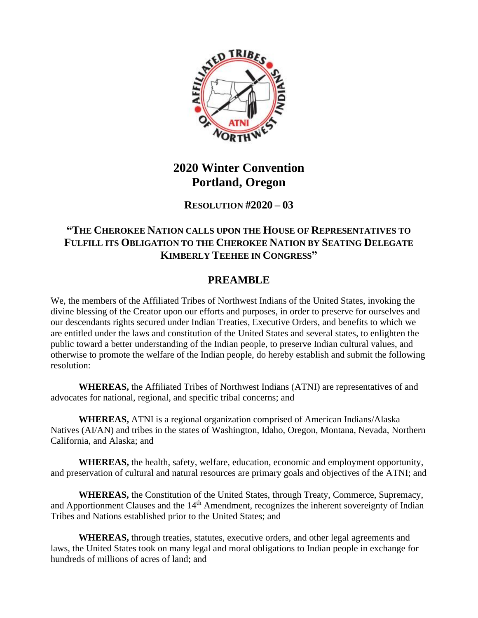

# **2020 Winter Convention Portland, Oregon**

#### **RESOLUTION #2020 – 03**

### **"THE CHEROKEE NATION CALLS UPON THE HOUSE OF REPRESENTATIVES TO FULFILL ITS OBLIGATION TO THE CHEROKEE NATION BY SEATING DELEGATE KIMBERLY TEEHEE IN CONGRESS"**

## **PREAMBLE**

We, the members of the Affiliated Tribes of Northwest Indians of the United States, invoking the divine blessing of the Creator upon our efforts and purposes, in order to preserve for ourselves and our descendants rights secured under Indian Treaties, Executive Orders, and benefits to which we are entitled under the laws and constitution of the United States and several states, to enlighten the public toward a better understanding of the Indian people, to preserve Indian cultural values, and otherwise to promote the welfare of the Indian people, do hereby establish and submit the following resolution:

**WHEREAS,** the Affiliated Tribes of Northwest Indians (ATNI) are representatives of and advocates for national, regional, and specific tribal concerns; and

**WHEREAS,** ATNI is a regional organization comprised of American Indians/Alaska Natives (AI/AN) and tribes in the states of Washington, Idaho, Oregon, Montana, Nevada, Northern California, and Alaska; and

**WHEREAS,** the health, safety, welfare, education, economic and employment opportunity, and preservation of cultural and natural resources are primary goals and objectives of the ATNI; and

**WHEREAS,** the Constitution of the United States, through Treaty, Commerce, Supremacy, and Apportionment Clauses and the 14<sup>th</sup> Amendment, recognizes the inherent sovereignty of Indian Tribes and Nations established prior to the United States; and

**WHEREAS,** through treaties, statutes, executive orders, and other legal agreements and laws, the United States took on many legal and moral obligations to Indian people in exchange for hundreds of millions of acres of land; and